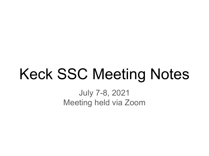# Keck SSC Meeting Notes

July 7-8, 2021 Meeting held via Zoom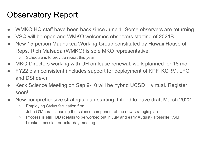#### Observatory Report

- WMKO HQ staff have been back since June 1. Some observers are returning.
- VSQ will be open and WMKO welcomes observers starting of 2021B
- New 15-person Maunakea Working Group constituted by Hawaii House of Reps. Rich Matsuda (WMKO) is sole MKO representative.
	- Schedule is to provide report this year
- MKO Directors working with UH on lease renewal; work planned for 18 mo.
- FY22 plan consistent (includes support for deployment of KPF, KCRM, LFC, and DSI dev.)
- Keck Science Meeting on Sep 9-10 will be hybrid UCSD + virtual. Register soon!
- New comprehensive strategic plan starting. Intend to have draft March 2022
	- Employing Stylus facilitation firm.
	- John O'Meara is leading the science component of the new strategic plan
	- Process is still TBD (details to be worked out in July and early August). Possible KSM breakout session or extra-day meeting.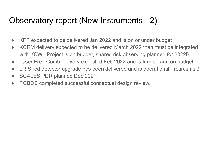#### Observatory report (New Instruments - 2)

- KPF expected to be delivered Jan 2022 and is on or under budget
- KCRM delivery expected to be delivered March 2022 then must be integrated with KCWI. Project is on budget, shared risk observing planned for 2022B
- Laser Freq Comb delivery expected Feb 2022 and is funded and on budget.
- LRIS red detector upgrade has been delivered and is operational retires risk!
- SCALES PDR planned Dec 2021.
- FOBOS completed successful conceptual design review.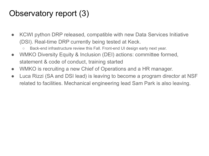#### Observatory report (3)

- KCWI python DRP released, compatible with new Data Services Initiative (DSI). Real-time DRP currently being tested at Keck.
	- Back-end infrastructure review this Fall. Front-end UI design early next year.
- WMKO Diversity Equity & Inclusion (DEI) actions: committee formed, statement & code of conduct, training started
- WMKO is recruiting a new Chief of Operations and a HR manager.
- Luca Rizzi (SA and DSI lead) is leaving to become a program director at NSF related to facilities. Mechanical engineering lead Sam Park is also leaving.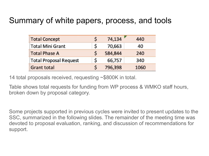#### Summary of white papers, process, and tools

| <b>Total Concept</b>          | Ś  | 74,134  | 440  |
|-------------------------------|----|---------|------|
| <b>Total Mini Grant</b>       | \$ | 70,663  | 40   |
| <b>Total Phase A</b>          | Ś  | 584,844 | 240  |
| <b>Total Proposal Request</b> | Ś  | 66,757  | 340  |
| <b>Grant total</b>            |    | 796,398 | 1060 |

14 total proposals received, requesting ~\$800K in total.

Table shows total requests for funding from WP process & WMKO staff hours, broken down by proposal category.

Some projects supported in previous cycles were invited to present updates to the SSC, summarized in the following slides. The remainder of the meeting time was devoted to proposal evaluation, ranking, and discussion of recommendations for support.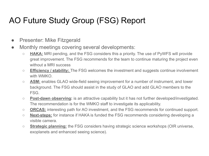# AO Future Study Group (FSG) Report

- Presenter: Mike Fitzgerald
- Monthly meetings covering several developments:
	- **HAKA:** MRI pending, and the FSG considers this a priority. The use of PyWFS will provide great improvement. The FSG recommends for the team to continue maturing the project even without a MRI success
	- **Efficiency / stability:** The FSG welcomes the investment and suggests continue involvement with WMKO.
	- **ASM:** enables GLAO wide-field seeing improvement for a number of instrument, and lower background. The FSG should assist in the study of GLAO and add GLAO members to the FSG.
	- **Post-dawn observing:** is an attractive capability but it has not further developed/investigated. The recommendation is for the WMKO staff to investigate its applicability.
	- **ORCAS:** interesting path for AO investment, and the FSG recommends for continued support.
	- **Next-steps:** for instance if HAKA is funded the FSG recommends considering developing a visible camera.
	- **Strategic planning:** the FSG considers having strategic science workshops (OIR universe, exoplanets and enhanced seeing science).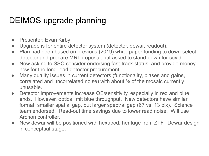### DEIMOS upgrade planning

- Presenter: Evan Kirby
- Upgrade is for entire detector system (detector, dewar, readout).
- Plan had been based on previous (2019) white paper funding to down-select detector and prepare MRI proposal, but asked to stand-down for covid.
- Now asking to SSC consider endorsing fast-track status, and provide money now for the long-lead detector procurement
- Many quality issues in current detectors (functionality, biases and gains, correlated and uncorrelated noise) with about ⅛ of the mosaic currently unusable.
- Detector improvements increase QE/sensitivity, especially in red and blue ends. However, optics limit blue throughput. New detectors have similar format, smaller spatial gap, but larger spectral gap (67 vs. 13 pix). Science team endorsed. Read-out time savings due to lower read noise. Will use Archon controller.
- New dewar will be positioned with hexapod; heritage from ZTF. Dewar design in conceptual stage.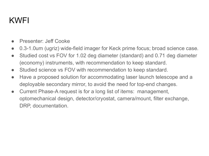#### KWFI

- Presenter: Jeff Cooke
- 0.3-1.0um (ugriz) wide-field imager for Keck prime focus; broad science case.
- Studied cost vs FOV for 1.02 deg diameter (standard) and 0.71 deg diameter (economy) instruments, with recommendation to keep standard.
- Studied science vs FOV with recommendation to keep standard.
- Have a proposed solution for accommodating laser launch telescope and a deployable secondary mirror, to avoid the need for top-end changes.
- Current Phase-A request is for a long list of items: management, optomechanical design, detector/cryostat, camera/mount, filter exchange, DRP, documentation.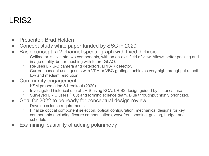## LRIS2

- Presenter: Brad Holden
- Concept study white paper funded by SSC in 2020
- Basic concept: a 2 channel spectrograph with fixed dichroic
	- Collimator is split into two components, with an on-axis field of view. Allows better packing and image quality, better meshing with future GLAO.
	- Re-uses LRIS-B camera and detectors, LRIS-R detector.
	- Current concept uses grisms with VPH or VBG gratings, achieves very high throughput at both low and medium resolution.
- Community engagement:
	- KSM presentation & breakout (2020)
	- Investigated historical use of LRIS using KOA. LRIS2 design guided by historical use
	- Surveyed LRIS users (~60) and forming science team. Blue throughput highly prioritized.
- Goal for 2022 to be ready for conceptual design review
	- Develop science requirements
	- Finalize optical component selection, optical configuration, mechanical designs for key components (including flexure compensation), wavefront sensing, guiding, budget and schedule
- Examining feasibility of adding polarimetry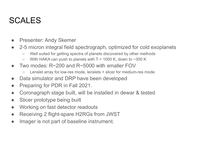# SCALES

- Presenter: Andy Skemer
- 2-5 micron integral field spectrograph, optimized for cold exoplanets
	- Well suited for getting spectra of planets discovered by other methods
	- $\circ$  With HAKA can push to planets with T < 1000 K, down to ~300 K
- Two modes:  $R \sim 200$  and  $R \sim 5000$  with smaller FOV
	- Lenslet array for low-res mode, lenslets + slicer for medium-res mode
- Data simulator and DRP have been developed
- Preparing for PDR in Fall 2021.
- Coronagraph stage built, will be installed in dewar & tested
- Slicer prototype being built
- Working on fast detector readouts
- Receiving 2 flight-spare H2RGs from JWST
- Imager is not part of baseline instrument.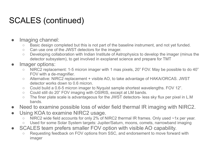# SCALES (continued)

- Imaging channel:
	- Basic design completed but this is not part of the baseline instrument, and not yet funded.
	- Can use one of the JWST detectors for the imager.
	- Developing collaboration with Indian Institute of Astrophysics to develop the imager (minus the detector subsystem), to get involved in exoplanet science and prepare for TMT
- Imager options:
	- NIRC2 replacement: 1-5 micron imager with 1 mas pixels, 20" FOV. May be possible to do 40" FOV with a de-magnifier.
	- Alternative: NIRC2 replacement + visible AO, to take advantage of HAKA/ORCAS. JWST detector works down to 0.6 micron.
	- Could build a 0.6-5 micron imager to Nyquist sample shortest wavelengths. FOV 12".
	- Could still do 20" FOV imaging with OSIRIS, except at LM bands.
	- The finer plate scale is advantageous for the JWST detectors- less sky flux per pixel in L.M bands.
- Need to examine possible loss of wider field thermal IR imaging with NIRC2.
- Using KOA to examine NIRC2 usage.
	- NIRC2 wide field accounts for only 2% of NIRC2 thermal IR frames. Only used ~1x per year.
	- Used for some Solar System targets: Jupiter/Saturn, moons, comets, narrowband imaging
- SCALES team prefers smaller FOV option with visible AO capability.
	- Requesting feedback on FOV options from SSC, and endorsement to move forward with imager